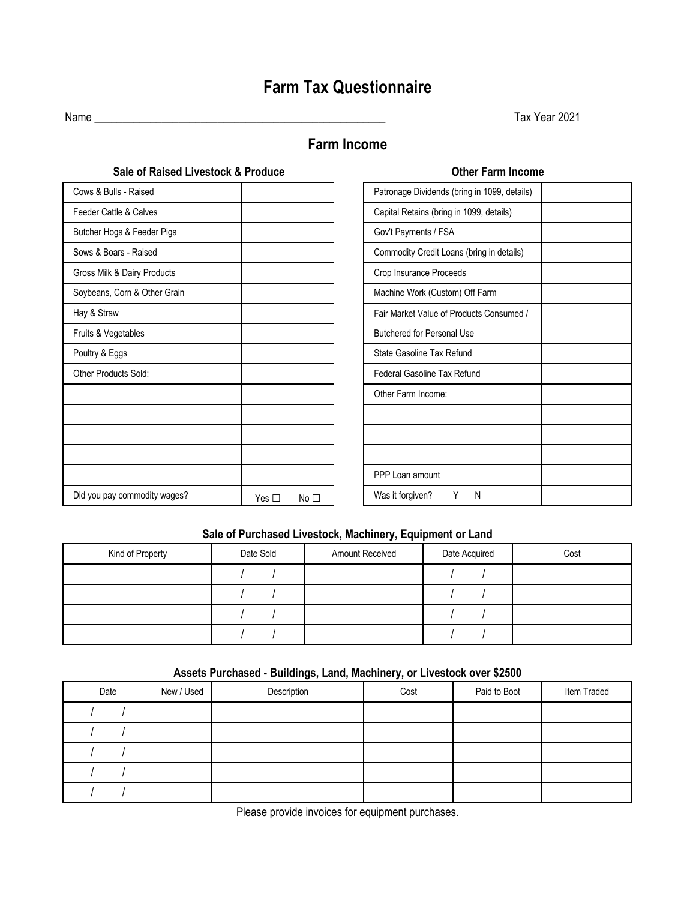# **Farm Tax Questionnaire**

Name \_\_\_\_\_\_\_\_\_\_\_\_\_\_\_\_\_\_\_\_\_\_\_\_\_\_\_\_\_\_\_\_\_\_\_\_\_\_\_\_\_\_\_\_\_\_\_\_\_\_\_\_ Tax Year 2021

## **Farm Income**

| Sale of Raised Livestock & Produce |                         | <b>Other Farm Income</b>                     |  |
|------------------------------------|-------------------------|----------------------------------------------|--|
| Cows & Bulls - Raised              |                         | Patronage Dividends (bring in 1099, details) |  |
| Feeder Cattle & Calves             |                         | Capital Retains (bring in 1099, details)     |  |
| Butcher Hogs & Feeder Pigs         |                         | Gov't Payments / FSA                         |  |
| Sows & Boars - Raised              |                         | Commodity Credit Loans (bring in details)    |  |
| Gross Milk & Dairy Products        |                         | Crop Insurance Proceeds                      |  |
| Soybeans, Corn & Other Grain       |                         | Machine Work (Custom) Off Farm               |  |
| Hay & Straw                        |                         | Fair Market Value of Products Consumed /     |  |
| Fruits & Vegetables                |                         | <b>Butchered for Personal Use</b>            |  |
| Poultry & Eggs                     |                         | State Gasoline Tax Refund                    |  |
| Other Products Sold:               |                         | Federal Gasoline Tax Refund                  |  |
|                                    |                         | Other Farm Income:                           |  |
|                                    |                         |                                              |  |
|                                    |                         |                                              |  |
|                                    |                         |                                              |  |
|                                    |                         | PPP Loan amount                              |  |
| Did you pay commodity wages?       | Yes $\Box$<br>No $\Box$ | Was it forgiven?<br>Y<br>N                   |  |

| Patronage Dividends (bring in 1099, details) |  |
|----------------------------------------------|--|
| Capital Retains (bring in 1099, details)     |  |
| Gov't Payments / FSA                         |  |
| Commodity Credit Loans (bring in details)    |  |
| Crop Insurance Proceeds                      |  |
| Machine Work (Custom) Off Farm               |  |
| Fair Market Value of Products Consumed /     |  |
| <b>Butchered for Personal Use</b>            |  |
| State Gasoline Tax Refund                    |  |
| Federal Gasoline Tax Refund                  |  |
| Other Farm Income:                           |  |
|                                              |  |
|                                              |  |
|                                              |  |
| PPP Loan amount                              |  |
| Was it forgiven?<br>Y<br>Ν                   |  |

#### **Sale of Purchased Livestock, Machinery, Equipment or Land**

| Kind of Property | Date Sold | <b>Amount Received</b> | Date Acquired | Cost |
|------------------|-----------|------------------------|---------------|------|
|                  |           |                        |               |      |
|                  |           |                        |               |      |
|                  |           |                        |               |      |
|                  |           |                        |               |      |

#### **Assets Purchased - Buildings, Land, Machinery, or Livestock over \$2500**

| Date | New / Used | Description | Cost | Paid to Boot | Item Traded |
|------|------------|-------------|------|--------------|-------------|
|      |            |             |      |              |             |
|      |            |             |      |              |             |
|      |            |             |      |              |             |
|      |            |             |      |              |             |
|      |            |             |      |              |             |

Please provide invoices for equipment purchases.